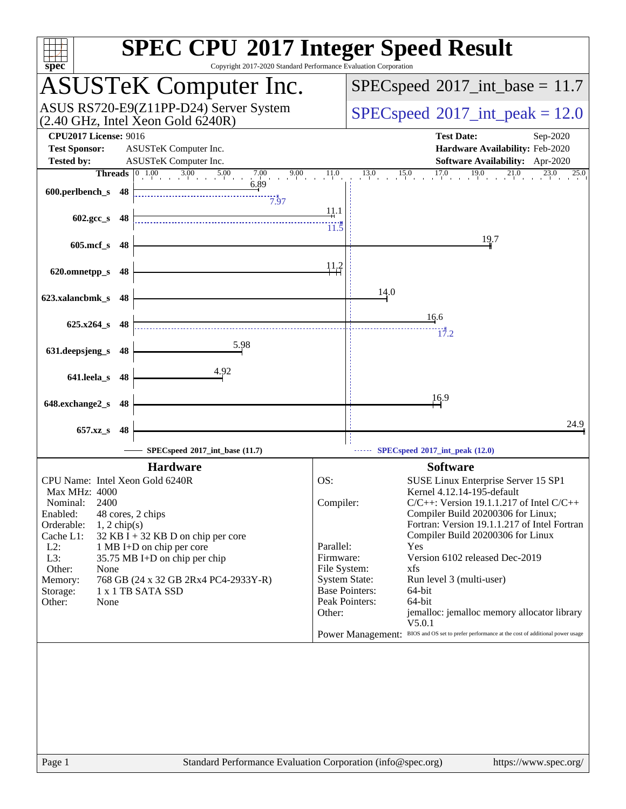| spec <sup>®</sup>                                                                                                                                                                                                                                                                                                                                                                                                    | <b>SPEC CPU®2017 Integer Speed Result</b><br>Copyright 2017-2020 Standard Performance Evaluation Corporation                                                                                                                                                                                                                                                                                                                                                                                                                                                                                                                                                                    |
|----------------------------------------------------------------------------------------------------------------------------------------------------------------------------------------------------------------------------------------------------------------------------------------------------------------------------------------------------------------------------------------------------------------------|---------------------------------------------------------------------------------------------------------------------------------------------------------------------------------------------------------------------------------------------------------------------------------------------------------------------------------------------------------------------------------------------------------------------------------------------------------------------------------------------------------------------------------------------------------------------------------------------------------------------------------------------------------------------------------|
| <b>ASUSTeK Computer Inc.</b>                                                                                                                                                                                                                                                                                                                                                                                         | $SPEC speed^{\circ}2017\_int\_base = 11.7$                                                                                                                                                                                                                                                                                                                                                                                                                                                                                                                                                                                                                                      |
| ASUS RS720-E9(Z11PP-D24) Server System<br>$(2.40 \text{ GHz}, \text{Intel Xeon Gold } 6240 \text{R})$                                                                                                                                                                                                                                                                                                                | $SPEC speed^{\circ}2017\_int\_peak = 12.0$                                                                                                                                                                                                                                                                                                                                                                                                                                                                                                                                                                                                                                      |
| <b>CPU2017 License: 9016</b><br><b>Test Sponsor:</b><br>ASUSTeK Computer Inc.<br><b>Tested by:</b><br>ASUSTeK Computer Inc.                                                                                                                                                                                                                                                                                          | <b>Test Date:</b><br>Sep-2020<br>Hardware Availability: Feb-2020<br>Software Availability: Apr-2020                                                                                                                                                                                                                                                                                                                                                                                                                                                                                                                                                                             |
| $\begin{bmatrix} 0 & 1.00 & 3.00 & 5.00 & 7.00 & 9.00 \end{bmatrix}$<br><b>Threads</b><br>6.89<br>600.perlbench_s 48<br>7.97                                                                                                                                                                                                                                                                                         | $13.0$ $15.0$ $17.0$ $19.0$ $21.0$ $23.0$ $25$<br>11.0<br>13.0<br>25.0                                                                                                                                                                                                                                                                                                                                                                                                                                                                                                                                                                                                          |
| $602.\text{gcc}\simeq 48$                                                                                                                                                                                                                                                                                                                                                                                            | <u>11</u> .1<br>$11.\overline{5}$                                                                                                                                                                                                                                                                                                                                                                                                                                                                                                                                                                                                                                               |
| 605.mcf_s 48                                                                                                                                                                                                                                                                                                                                                                                                         | 19.7<br><u>11.2</u>                                                                                                                                                                                                                                                                                                                                                                                                                                                                                                                                                                                                                                                             |
| 620.omnetpp_s<br>-48<br>623.xalancbmk_s 48                                                                                                                                                                                                                                                                                                                                                                           | 14.0                                                                                                                                                                                                                                                                                                                                                                                                                                                                                                                                                                                                                                                                            |
| $625.x264$ s 48                                                                                                                                                                                                                                                                                                                                                                                                      | 16.6<br>17.2                                                                                                                                                                                                                                                                                                                                                                                                                                                                                                                                                                                                                                                                    |
| 5.98<br>631.deepsjeng_s<br>-48                                                                                                                                                                                                                                                                                                                                                                                       |                                                                                                                                                                                                                                                                                                                                                                                                                                                                                                                                                                                                                                                                                 |
| 4.92<br>641.leela_s<br>-48                                                                                                                                                                                                                                                                                                                                                                                           | 16.9                                                                                                                                                                                                                                                                                                                                                                                                                                                                                                                                                                                                                                                                            |
| 648.exchange2_s 48<br>657.xz_s<br>48                                                                                                                                                                                                                                                                                                                                                                                 | 24.9                                                                                                                                                                                                                                                                                                                                                                                                                                                                                                                                                                                                                                                                            |
| SPECspeed*2017_int_base (11.7)                                                                                                                                                                                                                                                                                                                                                                                       | SPECspeed®2017_int_peak (12.0)                                                                                                                                                                                                                                                                                                                                                                                                                                                                                                                                                                                                                                                  |
| <b>Hardware</b><br>CPU Name: Intel Xeon Gold 6240R<br>Max MHz: 4000<br>2400<br>Nominal:<br>Enabled:<br>48 cores, 2 chips<br>Orderable:<br>$1, 2$ chip(s)<br>Cache L1:<br>$32$ KB I + 32 KB D on chip per core<br>$L2$ :<br>1 MB I+D on chip per core<br>L3:<br>35.75 MB I+D on chip per chip<br>Other:<br>None<br>768 GB (24 x 32 GB 2Rx4 PC4-2933Y-R)<br>Memory:<br>1 x 1 TB SATA SSD<br>Storage:<br>Other:<br>None | <b>Software</b><br>OS:<br>SUSE Linux Enterprise Server 15 SP1<br>Kernel 4.12.14-195-default<br>$C/C++$ : Version 19.1.1.217 of Intel $C/C++$<br>Compiler:<br>Compiler Build 20200306 for Linux;<br>Fortran: Version 19.1.1.217 of Intel Fortran<br>Compiler Build 20200306 for Linux<br>Parallel:<br>Yes<br>Version 6102 released Dec-2019<br>Firmware:<br>File System:<br>xfs<br><b>System State:</b><br>Run level 3 (multi-user)<br><b>Base Pointers:</b><br>64-bit<br>Peak Pointers:<br>64-bit<br>Other:<br>jemalloc: jemalloc memory allocator library<br>V5.0.1<br>BIOS and OS set to prefer performance at the cost of additional power usage<br><b>Power Management:</b> |
| Page 1                                                                                                                                                                                                                                                                                                                                                                                                               | Standard Performance Evaluation Corporation (info@spec.org)<br>https://www.spec.org/                                                                                                                                                                                                                                                                                                                                                                                                                                                                                                                                                                                            |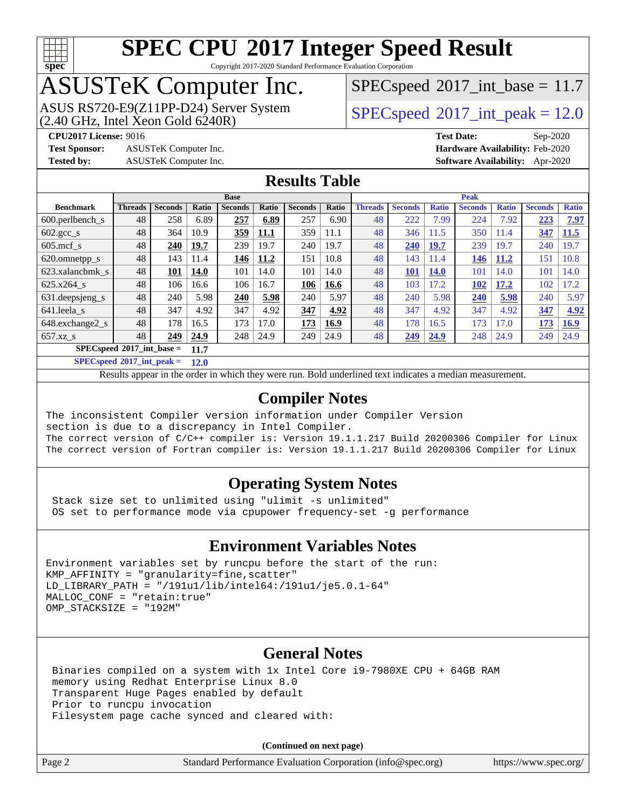

Copyright 2017-2020 Standard Performance Evaluation Corporation

# ASUSTeK Computer Inc.

ASUS RS720-E9(Z11PP-D24) Server System  $(2.40 \text{ GHz}, \text{ Intel Xeon Gold } 6240\text{R})$  [SPECspeed](http://www.spec.org/auto/cpu2017/Docs/result-fields.html#SPECspeed2017intpeak)®[2017\\_int\\_peak = 1](http://www.spec.org/auto/cpu2017/Docs/result-fields.html#SPECspeed2017intpeak)2.0

 $SPECspeed^{\circ}2017\_int\_base = 11.7$  $SPECspeed^{\circ}2017\_int\_base = 11.7$ 

**[Test Sponsor:](http://www.spec.org/auto/cpu2017/Docs/result-fields.html#TestSponsor)** ASUSTeK Computer Inc. **[Hardware Availability:](http://www.spec.org/auto/cpu2017/Docs/result-fields.html#HardwareAvailability)** Feb-2020

**[CPU2017 License:](http://www.spec.org/auto/cpu2017/Docs/result-fields.html#CPU2017License)** 9016 **[Test Date:](http://www.spec.org/auto/cpu2017/Docs/result-fields.html#TestDate)** Sep-2020 **[Tested by:](http://www.spec.org/auto/cpu2017/Docs/result-fields.html#Testedby)** ASUSTeK Computer Inc. **[Software Availability:](http://www.spec.org/auto/cpu2017/Docs/result-fields.html#SoftwareAvailability)** Apr-2020

### **[Results Table](http://www.spec.org/auto/cpu2017/Docs/result-fields.html#ResultsTable)**

|                                            | <b>Base</b>    |                |       |                |       | <b>Peak</b>    |       |                |                |              |                |              |                |              |
|--------------------------------------------|----------------|----------------|-------|----------------|-------|----------------|-------|----------------|----------------|--------------|----------------|--------------|----------------|--------------|
| <b>Benchmark</b>                           | <b>Threads</b> | <b>Seconds</b> | Ratio | <b>Seconds</b> | Ratio | <b>Seconds</b> | Ratio | <b>Threads</b> | <b>Seconds</b> | <b>Ratio</b> | <b>Seconds</b> | <b>Ratio</b> | <b>Seconds</b> | <b>Ratio</b> |
| $600.$ perlbench s                         | 48             | 258            | 6.89  | 257            | 6.89  | 257            | 6.90  | 48             | 222            | 7.99         | 224            | 7.92         | 223            | 7.97         |
| $602 \text{.} \text{gcc}\text{_<}$ s       | 48             | 364            | 10.9  | 359            | 11.1  | 359            | 11.1  | 48             | 346            | 11.5         | 350            | 11.4         | 347            | 11.5         |
| $605 \text{.mcf } s$                       | 48             | 240            | 19.7  | 239            | 19.7  | 240            | 19.7  | 48             | 240            | <u>19.7</u>  | 239            | 19.7         | 240            | 19.7         |
| 620.omnetpp_s                              | 48             | 143            | 11.4  | 146            | 11.2  | 151            | 10.8  | 48             | 143            | 11.4         | 146            | 11.2         | 151            | 10.8         |
| 623.xalancbmk s                            | 48             | 101            | 14.0  | 101            | 14.0  | 101            | 14.0  | 48             | 101            | <b>14.0</b>  | 101            | 14.0         | 101            | 14.0         |
| 625.x264 s                                 | 48             | 106            | 16.6  | 106            | 16.7  | 106            | 16.6  | 48             | 103            | 17.2         | 102            | 17.2         | 102            | 17.2         |
| 631.deepsjeng_s                            | 48             | 240            | 5.98  | 240            | 5.98  | 240            | 5.97  | 48             | 240            | 5.98         | 240            | 5.98         | 240            | 5.97         |
| 641.leela s                                | 48             | 347            | 4.92  | 347            | 4.92  | 347            | 4.92  | 48             | 347            | 4.92         | 347            | 4.92         | 347            | 4.92         |
| 648.exchange2 s                            | 48             | 178            | 16.5  | 173            | 17.0  | 173            | 16.9  | 48             | 178            | 16.5         | 173            | 17.0         | 173            | 16.9         |
| $657.xz$ s                                 | 48             | 249            | 24.9  | 248            | 24.9  | 249            | 24.9  | 48             | 249            | 24.9         | 248            | 24.9         | 249            | 24.9         |
| $SPECspeed^{\circ}2017$ int base =<br>11.7 |                |                |       |                |       |                |       |                |                |              |                |              |                |              |

**[SPECspeed](http://www.spec.org/auto/cpu2017/Docs/result-fields.html#SPECspeed2017intpeak)[2017\\_int\\_peak =](http://www.spec.org/auto/cpu2017/Docs/result-fields.html#SPECspeed2017intpeak) 12.0**

Results appear in the [order in which they were run.](http://www.spec.org/auto/cpu2017/Docs/result-fields.html#RunOrder) Bold underlined text [indicates a median measurement](http://www.spec.org/auto/cpu2017/Docs/result-fields.html#Median).

### **[Compiler Notes](http://www.spec.org/auto/cpu2017/Docs/result-fields.html#CompilerNotes)**

The inconsistent Compiler version information under Compiler Version section is due to a discrepancy in Intel Compiler. The correct version of C/C++ compiler is: Version 19.1.1.217 Build 20200306 Compiler for Linux The correct version of Fortran compiler is: Version 19.1.1.217 Build 20200306 Compiler for Linux

### **[Operating System Notes](http://www.spec.org/auto/cpu2017/Docs/result-fields.html#OperatingSystemNotes)**

 Stack size set to unlimited using "ulimit -s unlimited" OS set to performance mode via cpupower frequency-set -g performance

### **[Environment Variables Notes](http://www.spec.org/auto/cpu2017/Docs/result-fields.html#EnvironmentVariablesNotes)**

```
Environment variables set by runcpu before the start of the run:
KMP AFFINITY = "granularity=fine, scatter"
LD_LIBRARY_PATH = "/191u1/lib/intel64:/191u1/je5.0.1-64"
MALLOC_CONF = "retain:true"
OMP_STACKSIZE = "192M"
```
### **[General Notes](http://www.spec.org/auto/cpu2017/Docs/result-fields.html#GeneralNotes)**

 Binaries compiled on a system with 1x Intel Core i9-7980XE CPU + 64GB RAM memory using Redhat Enterprise Linux 8.0 Transparent Huge Pages enabled by default Prior to runcpu invocation Filesystem page cache synced and cleared with:

**(Continued on next page)**

| age 2 |  |
|-------|--|
|-------|--|

Page 2 Standard Performance Evaluation Corporation [\(info@spec.org\)](mailto:info@spec.org) <https://www.spec.org/>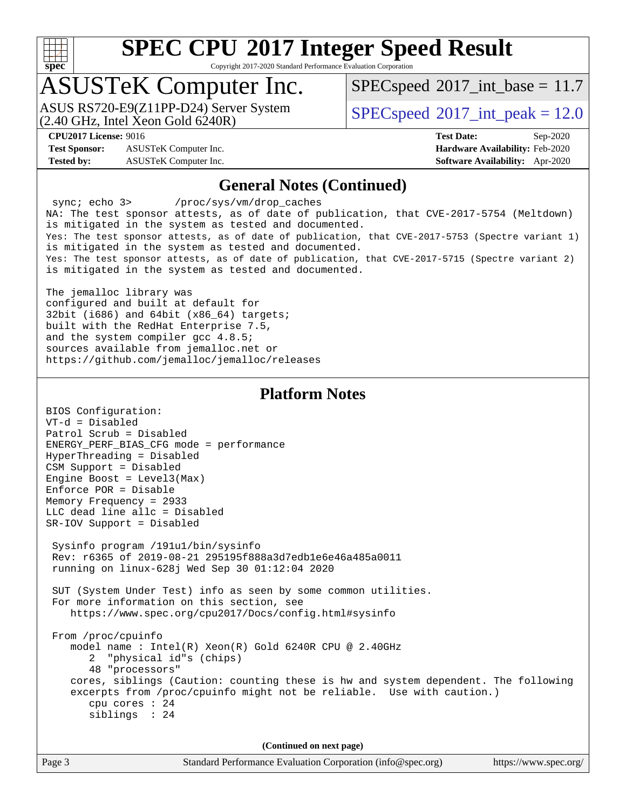

Copyright 2017-2020 Standard Performance Evaluation Corporation

## ASUSTeK Computer Inc.

(2.40 GHz, Intel Xeon Gold 6240R) ASUS RS720-E9(Z11PP-D24) Server System  $SPEC speed@2017$  int\_peak = 12.0

 $SPECspeed^{\circ}2017\_int\_base = 11.7$  $SPECspeed^{\circ}2017\_int\_base = 11.7$ 

**[Test Sponsor:](http://www.spec.org/auto/cpu2017/Docs/result-fields.html#TestSponsor)** ASUSTeK Computer Inc. **[Hardware Availability:](http://www.spec.org/auto/cpu2017/Docs/result-fields.html#HardwareAvailability)** Feb-2020 **[Tested by:](http://www.spec.org/auto/cpu2017/Docs/result-fields.html#Testedby)** ASUSTeK Computer Inc. **[Software Availability:](http://www.spec.org/auto/cpu2017/Docs/result-fields.html#SoftwareAvailability)** Apr-2020

**[CPU2017 License:](http://www.spec.org/auto/cpu2017/Docs/result-fields.html#CPU2017License)** 9016 **[Test Date:](http://www.spec.org/auto/cpu2017/Docs/result-fields.html#TestDate)** Sep-2020

### **[General Notes \(Continued\)](http://www.spec.org/auto/cpu2017/Docs/result-fields.html#GeneralNotes)**

 sync; echo 3> /proc/sys/vm/drop\_caches NA: The test sponsor attests, as of date of publication, that CVE-2017-5754 (Meltdown) is mitigated in the system as tested and documented. Yes: The test sponsor attests, as of date of publication, that CVE-2017-5753 (Spectre variant 1) is mitigated in the system as tested and documented. Yes: The test sponsor attests, as of date of publication, that CVE-2017-5715 (Spectre variant 2) is mitigated in the system as tested and documented.

The jemalloc library was configured and built at default for 32bit (i686) and 64bit (x86\_64) targets; built with the RedHat Enterprise 7.5, and the system compiler gcc 4.8.5; sources available from jemalloc.net or <https://github.com/jemalloc/jemalloc/releases>

### **[Platform Notes](http://www.spec.org/auto/cpu2017/Docs/result-fields.html#PlatformNotes)**

| BIOS Configuration:                                                                                                                                                                            |  |  |  |  |  |
|------------------------------------------------------------------------------------------------------------------------------------------------------------------------------------------------|--|--|--|--|--|
| $VT-d = Disabled$                                                                                                                                                                              |  |  |  |  |  |
| Patrol Scrub = Disabled                                                                                                                                                                        |  |  |  |  |  |
| ENERGY_PERF_BIAS_CFG mode = performance                                                                                                                                                        |  |  |  |  |  |
| HyperThreading = Disabled                                                                                                                                                                      |  |  |  |  |  |
| CSM Support = Disabled                                                                                                                                                                         |  |  |  |  |  |
| Engine Boost = $Level3(Max)$                                                                                                                                                                   |  |  |  |  |  |
| $Enforce POR = Disable$                                                                                                                                                                        |  |  |  |  |  |
| Memory Frequency = 2933                                                                                                                                                                        |  |  |  |  |  |
| LLC dead line allc = Disabled                                                                                                                                                                  |  |  |  |  |  |
| SR-IOV Support = Disabled                                                                                                                                                                      |  |  |  |  |  |
| Sysinfo program /191u1/bin/sysinfo<br>Rev: r6365 of 2019-08-21 295195f888a3d7edble6e46a485a0011<br>running on linux-628j Wed Sep 30 01:12:04 2020                                              |  |  |  |  |  |
| SUT (System Under Test) info as seen by some common utilities.<br>For more information on this section, see<br>https://www.spec.org/cpu2017/Docs/config.html#sysinfo                           |  |  |  |  |  |
| From /proc/cpuinfo<br>model name: $Intel(R)$ Xeon(R) Gold 6240R CPU @ 2.40GHz<br>2 "physical id"s (chips)<br>48 "processors"                                                                   |  |  |  |  |  |
| cores, siblings (Caution: counting these is hw and system dependent. The following<br>excerpts from /proc/cpuinfo might not be reliable. Use with caution.)<br>cpu cores $: 24$<br>sibling: 24 |  |  |  |  |  |
| (Continued on next page)                                                                                                                                                                       |  |  |  |  |  |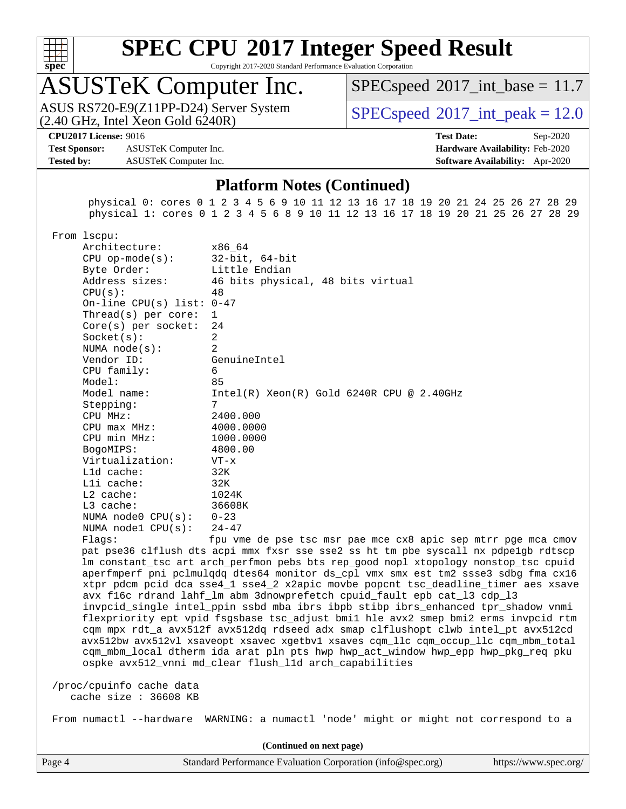

Copyright 2017-2020 Standard Performance Evaluation Corporation

## ASUSTeK Computer Inc.

 $(2.40 \text{ GHz}, \text{Intel Xeon Gold } 6240 \text{R})$ ASUS RS720-E9(Z11PP-D24) Server System  $SPECspeed@2017$  $SPECspeed@2017$  int\_peak = 12.0

 $SPECspeed^{\circ}2017\_int\_base = 11.7$  $SPECspeed^{\circ}2017\_int\_base = 11.7$ 

#### **[CPU2017 License:](http://www.spec.org/auto/cpu2017/Docs/result-fields.html#CPU2017License)** 9016 **[Test Date:](http://www.spec.org/auto/cpu2017/Docs/result-fields.html#TestDate)** Sep-2020

**[Test Sponsor:](http://www.spec.org/auto/cpu2017/Docs/result-fields.html#TestSponsor)** ASUSTeK Computer Inc. **[Hardware Availability:](http://www.spec.org/auto/cpu2017/Docs/result-fields.html#HardwareAvailability)** Feb-2020 **[Tested by:](http://www.spec.org/auto/cpu2017/Docs/result-fields.html#Testedby)** ASUSTeK Computer Inc. **[Software Availability:](http://www.spec.org/auto/cpu2017/Docs/result-fields.html#SoftwareAvailability)** Apr-2020

### **[Platform Notes \(Continued\)](http://www.spec.org/auto/cpu2017/Docs/result-fields.html#PlatformNotes)**

 physical 0: cores 0 1 2 3 4 5 6 9 10 11 12 13 16 17 18 19 20 21 24 25 26 27 28 29 physical 1: cores 0 1 2 3 4 5 6 8 9 10 11 12 13 16 17 18 19 20 21 25 26 27 28 29

From lscpu:

| Architecture:                                                                                                   | x86_64                                         |
|-----------------------------------------------------------------------------------------------------------------|------------------------------------------------|
| $CPU$ op-mode(s):                                                                                               | 32-bit, 64-bit                                 |
| Byte Order:                                                                                                     | Little Endian                                  |
| Address sizes:                                                                                                  | 46 bits physical, 48 bits virtual              |
| CPU(s):                                                                                                         | 48                                             |
| On-line CPU(s) list: $0-47$                                                                                     |                                                |
| $Thread(s)$ per core:                                                                                           | $\mathbf{1}$                                   |
| $Core(s)$ per socket:                                                                                           | 24                                             |
| Socket(s):                                                                                                      | $\overline{a}$                                 |
| NUMA node(s):                                                                                                   | $\overline{2}$                                 |
| Vendor ID:                                                                                                      | GenuineIntel                                   |
| CPU family:                                                                                                     | 6                                              |
| Model:                                                                                                          | 85                                             |
| Model name:                                                                                                     | Intel(R) Xeon(R) Gold 6240R CPU @ 2.40GHz      |
| Stepping:                                                                                                       | 7                                              |
| $CPU$ $MHz:$                                                                                                    | 2400.000                                       |
| $CPU$ $max$ $MHz$ :                                                                                             | 4000.0000                                      |
| CPU min MHz:                                                                                                    | 1000.0000                                      |
| BogoMIPS:                                                                                                       | 4800.00                                        |
| Virtualization:                                                                                                 | $VT - x$                                       |
| Lld cache:                                                                                                      | 32K                                            |
| Lli cache:                                                                                                      | 32K                                            |
| L2 cache:                                                                                                       | 1024K                                          |
| L3 cache: when the state of the state of the state of the state of the state of the state of the state of the s | 36608K                                         |
| NUMA node0 $CPU(s): 0-23$                                                                                       |                                                |
| NUMA $node1$ $CPU(s)$ :                                                                                         | $24 - 47$                                      |
| Flaqs:                                                                                                          | fpu vme de pse tsc msr pae mce cx8 apic sep mt |

trr pge mca cmov pat pse36 clflush dts acpi mmx fxsr sse sse2 ss ht tm pbe syscall nx pdpe1gb rdtscp lm constant\_tsc art arch\_perfmon pebs bts rep\_good nopl xtopology nonstop\_tsc cpuid aperfmperf pni pclmulqdq dtes64 monitor ds\_cpl vmx smx est tm2 ssse3 sdbg fma cx16 xtpr pdcm pcid dca sse4\_1 sse4\_2 x2apic movbe popcnt tsc\_deadline\_timer aes xsave avx f16c rdrand lahf\_lm abm 3dnowprefetch cpuid\_fault epb cat\_l3 cdp\_l3 invpcid\_single intel\_ppin ssbd mba ibrs ibpb stibp ibrs\_enhanced tpr\_shadow vnmi flexpriority ept vpid fsgsbase tsc\_adjust bmi1 hle avx2 smep bmi2 erms invpcid rtm cqm mpx rdt\_a avx512f avx512dq rdseed adx smap clflushopt clwb intel\_pt avx512cd avx512bw avx512vl xsaveopt xsavec xgetbv1 xsaves cqm\_llc cqm\_occup\_llc cqm\_mbm\_total cqm\_mbm\_local dtherm ida arat pln pts hwp hwp\_act\_window hwp\_epp hwp\_pkg\_req pku ospke avx512\_vnni md\_clear flush\_l1d arch\_capabilities

 /proc/cpuinfo cache data cache size : 36608 KB

From numactl --hardware WARNING: a numactl 'node' might or might not correspond to a

**(Continued on next page)**

Page 4 Standard Performance Evaluation Corporation [\(info@spec.org\)](mailto:info@spec.org) <https://www.spec.org/>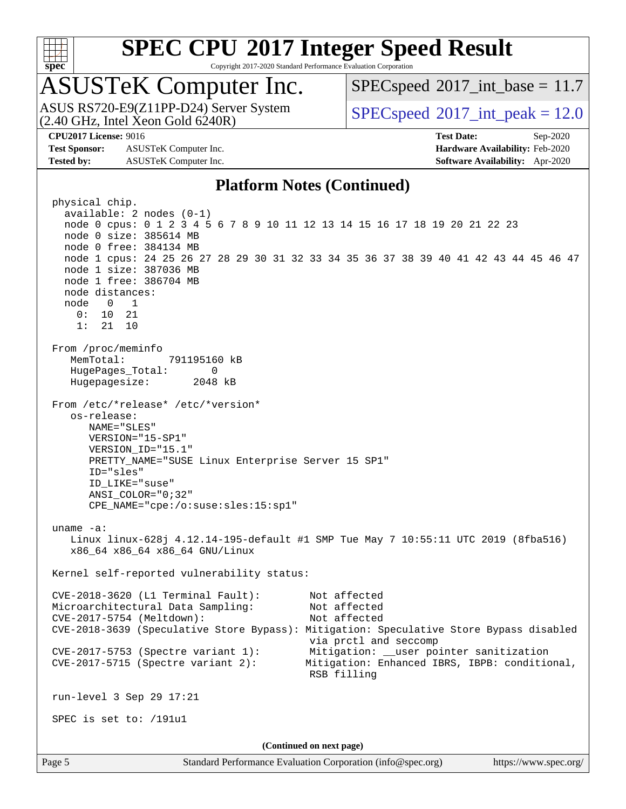

Copyright 2017-2020 Standard Performance Evaluation Corporation

# ASUSTeK Computer Inc.

ASUS RS720-E9(Z11PP-D24) Server System<br>(2.40 GHz, Intel Xeon Gold 6240R)

 $SPECspeed^{\circ}2017\_int\_base = 11.7$  $SPECspeed^{\circ}2017\_int\_base = 11.7$ 

 $SPECspeed^{\circ}2017\_int\_peak = 12.0$  $SPECspeed^{\circ}2017\_int\_peak = 12.0$ 

**[Test Sponsor:](http://www.spec.org/auto/cpu2017/Docs/result-fields.html#TestSponsor)** ASUSTeK Computer Inc. **[Hardware Availability:](http://www.spec.org/auto/cpu2017/Docs/result-fields.html#HardwareAvailability)** Feb-2020 **[Tested by:](http://www.spec.org/auto/cpu2017/Docs/result-fields.html#Testedby)** ASUSTeK Computer Inc. **[Software Availability:](http://www.spec.org/auto/cpu2017/Docs/result-fields.html#SoftwareAvailability)** Apr-2020

**[CPU2017 License:](http://www.spec.org/auto/cpu2017/Docs/result-fields.html#CPU2017License)** 9016 **[Test Date:](http://www.spec.org/auto/cpu2017/Docs/result-fields.html#TestDate)** Sep-2020

### **[Platform Notes \(Continued\)](http://www.spec.org/auto/cpu2017/Docs/result-fields.html#PlatformNotes)**

 physical chip. available: 2 nodes (0-1) node 0 cpus: 0 1 2 3 4 5 6 7 8 9 10 11 12 13 14 15 16 17 18 19 20 21 22 23 node 0 size: 385614 MB node 0 free: 384134 MB node 1 cpus: 24 25 26 27 28 29 30 31 32 33 34 35 36 37 38 39 40 41 42 43 44 45 46 47 node 1 size: 387036 MB node 1 free: 386704 MB node distances: node 0 1 0: 10 21 1: 21 10 From /proc/meminfo MemTotal: 791195160 kB HugePages\_Total: 0 Hugepagesize: 2048 kB From /etc/\*release\* /etc/\*version\* os-release: NAME="SLES" VERSION="15-SP1" VERSION\_ID="15.1" PRETTY\_NAME="SUSE Linux Enterprise Server 15 SP1" ID="sles" ID\_LIKE="suse" ANSI\_COLOR="0;32" CPE\_NAME="cpe:/o:suse:sles:15:sp1" uname -a: Linux linux-628j 4.12.14-195-default #1 SMP Tue May 7 10:55:11 UTC 2019 (8fba516) x86\_64 x86\_64 x86\_64 GNU/Linux Kernel self-reported vulnerability status: CVE-2018-3620 (L1 Terminal Fault): Not affected Microarchitectural Data Sampling: Not affected CVE-2017-5754 (Meltdown): Not affected CVE-2018-3639 (Speculative Store Bypass): Mitigation: Speculative Store Bypass disabled via prctl and seccomp CVE-2017-5753 (Spectre variant 1): Mitigation: \_\_user pointer sanitization CVE-2017-5715 (Spectre variant 2): Mitigation: Enhanced IBRS, IBPB: conditional, RSB filling run-level 3 Sep 29 17:21 SPEC is set to: /191u1 **(Continued on next page)**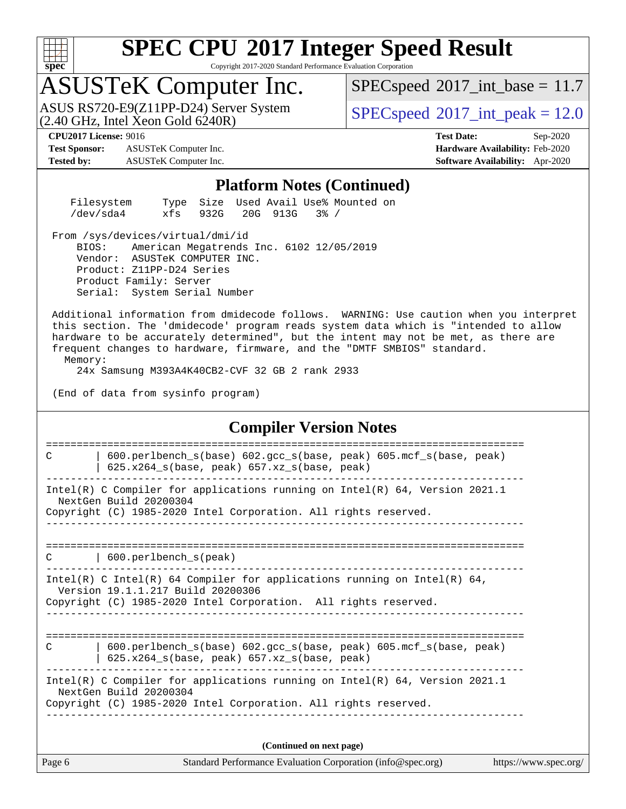

Copyright 2017-2020 Standard Performance Evaluation Corporation

## ASUSTeK Computer Inc.

 $(2.40 \text{ GHz}, \text{Intel } \hat{\text{X}}$ con Gold 6240R) ASUS RS720-E9(Z11PP-D24) Server System  $SPEC speed@2017$  int\_peak = 12.0

 $SPECspeed^{\circ}2017\_int\_base = 11.7$  $SPECspeed^{\circ}2017\_int\_base = 11.7$ 

**[Test Sponsor:](http://www.spec.org/auto/cpu2017/Docs/result-fields.html#TestSponsor)** ASUSTeK Computer Inc. **[Hardware Availability:](http://www.spec.org/auto/cpu2017/Docs/result-fields.html#HardwareAvailability)** Feb-2020 **[Tested by:](http://www.spec.org/auto/cpu2017/Docs/result-fields.html#Testedby)** ASUSTeK Computer Inc. **[Software Availability:](http://www.spec.org/auto/cpu2017/Docs/result-fields.html#SoftwareAvailability)** Apr-2020

**[CPU2017 License:](http://www.spec.org/auto/cpu2017/Docs/result-fields.html#CPU2017License)** 9016 **[Test Date:](http://www.spec.org/auto/cpu2017/Docs/result-fields.html#TestDate)** Sep-2020

#### **[Platform Notes \(Continued\)](http://www.spec.org/auto/cpu2017/Docs/result-fields.html#PlatformNotes)**

| Filesystem |                       |  | Type Size Used Avail Use% Mounted on |  |
|------------|-----------------------|--|--------------------------------------|--|
| /dev/sda4  | xfs 932G 20G 913G 3%/ |  |                                      |  |

From /sys/devices/virtual/dmi/id

 BIOS: American Megatrends Inc. 6102 12/05/2019 Vendor: ASUSTeK COMPUTER INC. Product: Z11PP-D24 Series Product Family: Server Serial: System Serial Number

 Additional information from dmidecode follows. WARNING: Use caution when you interpret this section. The 'dmidecode' program reads system data which is "intended to allow hardware to be accurately determined", but the intent may not be met, as there are frequent changes to hardware, firmware, and the "DMTF SMBIOS" standard. Memory:

24x Samsung M393A4K40CB2-CVF 32 GB 2 rank 2933

(End of data from sysinfo program)

#### **[Compiler Version Notes](http://www.spec.org/auto/cpu2017/Docs/result-fields.html#CompilerVersionNotes)**

Page 6 Standard Performance Evaluation Corporation [\(info@spec.org\)](mailto:info@spec.org) <https://www.spec.org/> ============================================================================== C | 600.perlbench\_s(base) 602.gcc\_s(base, peak) 605.mcf\_s(base, peak) | 625.x264\_s(base, peak) 657.xz\_s(base, peak) ------------------------------------------------------------------------------ Intel(R) C Compiler for applications running on Intel(R) 64, Version 2021.1 NextGen Build 20200304 Copyright (C) 1985-2020 Intel Corporation. All rights reserved. ------------------------------------------------------------------------------ ============================================================================== C | 600.perlbench\_s(peak) ------------------------------------------------------------------------------ Intel(R) C Intel(R) 64 Compiler for applications running on Intel(R) 64, Version 19.1.1.217 Build 20200306 Copyright (C) 1985-2020 Intel Corporation. All rights reserved. ------------------------------------------------------------------------------ ============================================================================== C | 600.perlbench\_s(base) 602.gcc\_s(base, peak) 605.mcf\_s(base, peak) | 625.x264\_s(base, peak) 657.xz\_s(base, peak) ------------------------------------------------------------------------------ Intel(R) C Compiler for applications running on Intel(R) 64, Version 2021.1 NextGen Build 20200304 Copyright (C) 1985-2020 Intel Corporation. All rights reserved. ------------------------------------------------------------------------------ **(Continued on next page)**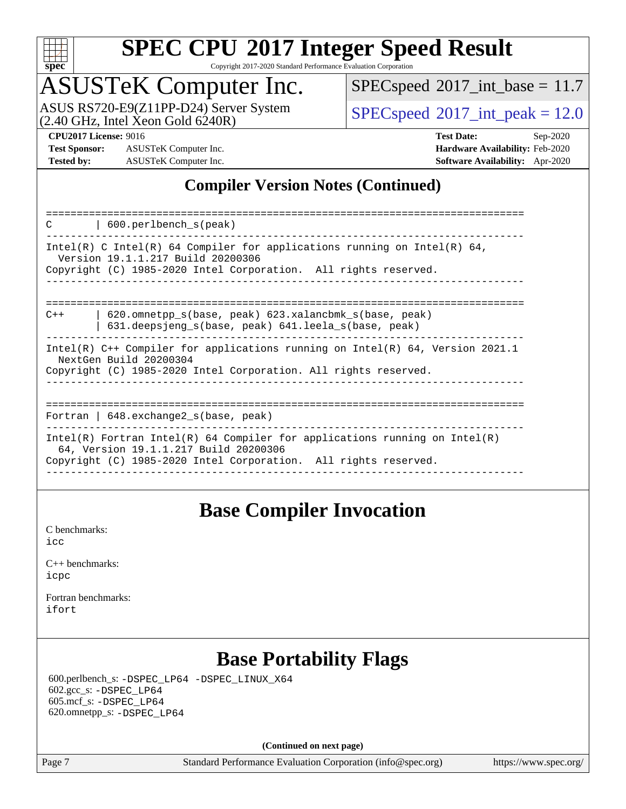

Copyright 2017-2020 Standard Performance Evaluation Corporation

# ASUSTeK Computer Inc.

 $(2.40$  GHz, Intel Xeon Gold  $6240R$ ) ASUS RS720-E9(Z11PP-D24) Server System  $\sqrt{\text{SPECspeed}}$  $\sqrt{\text{SPECspeed}}$  $\sqrt{\text{SPECspeed}}$  [2017\\_int\\_peak = 1](http://www.spec.org/auto/cpu2017/Docs/result-fields.html#SPECspeed2017intpeak)2.0

 $SPECspeed^{\circledcirc}2017\_int\_base = 11.7$  $SPECspeed^{\circledcirc}2017\_int\_base = 11.7$ 

**[Test Sponsor:](http://www.spec.org/auto/cpu2017/Docs/result-fields.html#TestSponsor)** ASUSTeK Computer Inc. **[Hardware Availability:](http://www.spec.org/auto/cpu2017/Docs/result-fields.html#HardwareAvailability)** Feb-2020 **[Tested by:](http://www.spec.org/auto/cpu2017/Docs/result-fields.html#Testedby)** ASUSTeK Computer Inc. **[Software Availability:](http://www.spec.org/auto/cpu2017/Docs/result-fields.html#SoftwareAvailability)** Apr-2020

**[CPU2017 License:](http://www.spec.org/auto/cpu2017/Docs/result-fields.html#CPU2017License)** 9016 **[Test Date:](http://www.spec.org/auto/cpu2017/Docs/result-fields.html#TestDate)** Sep-2020

### **[Compiler Version Notes \(Continued\)](http://www.spec.org/auto/cpu2017/Docs/result-fields.html#CompilerVersionNotes)**

| 600.perlbench_s(peak)<br>C                                                                                                                                                             |
|----------------------------------------------------------------------------------------------------------------------------------------------------------------------------------------|
| Intel(R) C Intel(R) 64 Compiler for applications running on Intel(R) 64,<br>Version 19.1.1.217 Build 20200306<br>Copyright (C) 1985-2020 Intel Corporation. All rights reserved.       |
| 620.omnetpp s(base, peak) 623.xalancbmk s(base, peak)<br>$C++$<br>631.deepsjeng s(base, peak) 641.leela s(base, peak)                                                                  |
| Intel(R) C++ Compiler for applications running on Intel(R) 64, Version 2021.1<br>NextGen Build 20200304<br>Copyright (C) 1985-2020 Intel Corporation. All rights reserved.             |
| Fortran   $648$ . exchange2 $s$ (base, peak)                                                                                                                                           |
| Intel(R) Fortran Intel(R) 64 Compiler for applications running on Intel(R)<br>64, Version 19.1.1.217 Build 20200306<br>Copyright (C) 1985-2020 Intel Corporation. All rights reserved. |

### **[Base Compiler Invocation](http://www.spec.org/auto/cpu2017/Docs/result-fields.html#BaseCompilerInvocation)**

[C benchmarks](http://www.spec.org/auto/cpu2017/Docs/result-fields.html#Cbenchmarks): [icc](http://www.spec.org/cpu2017/results/res2020q4/cpu2017-20201023-24241.flags.html#user_CCbase_intel_icc_66fc1ee009f7361af1fbd72ca7dcefbb700085f36577c54f309893dd4ec40d12360134090235512931783d35fd58c0460139e722d5067c5574d8eaf2b3e37e92)

| $C_{++}$ benchmarks: |  |
|----------------------|--|
| icpc                 |  |

[Fortran benchmarks](http://www.spec.org/auto/cpu2017/Docs/result-fields.html#Fortranbenchmarks): [ifort](http://www.spec.org/cpu2017/results/res2020q4/cpu2017-20201023-24241.flags.html#user_FCbase_intel_ifort_8111460550e3ca792625aed983ce982f94888b8b503583aa7ba2b8303487b4d8a21a13e7191a45c5fd58ff318f48f9492884d4413fa793fd88dd292cad7027ca)

### **[Base Portability Flags](http://www.spec.org/auto/cpu2017/Docs/result-fields.html#BasePortabilityFlags)**

 600.perlbench\_s: [-DSPEC\\_LP64](http://www.spec.org/cpu2017/results/res2020q4/cpu2017-20201023-24241.flags.html#b600.perlbench_s_basePORTABILITY_DSPEC_LP64) [-DSPEC\\_LINUX\\_X64](http://www.spec.org/cpu2017/results/res2020q4/cpu2017-20201023-24241.flags.html#b600.perlbench_s_baseCPORTABILITY_DSPEC_LINUX_X64) 602.gcc\_s: [-DSPEC\\_LP64](http://www.spec.org/cpu2017/results/res2020q4/cpu2017-20201023-24241.flags.html#suite_basePORTABILITY602_gcc_s_DSPEC_LP64) 605.mcf\_s: [-DSPEC\\_LP64](http://www.spec.org/cpu2017/results/res2020q4/cpu2017-20201023-24241.flags.html#suite_basePORTABILITY605_mcf_s_DSPEC_LP64) 620.omnetpp\_s: [-DSPEC\\_LP64](http://www.spec.org/cpu2017/results/res2020q4/cpu2017-20201023-24241.flags.html#suite_basePORTABILITY620_omnetpp_s_DSPEC_LP64)

**(Continued on next page)**

Page 7 Standard Performance Evaluation Corporation [\(info@spec.org\)](mailto:info@spec.org) <https://www.spec.org/>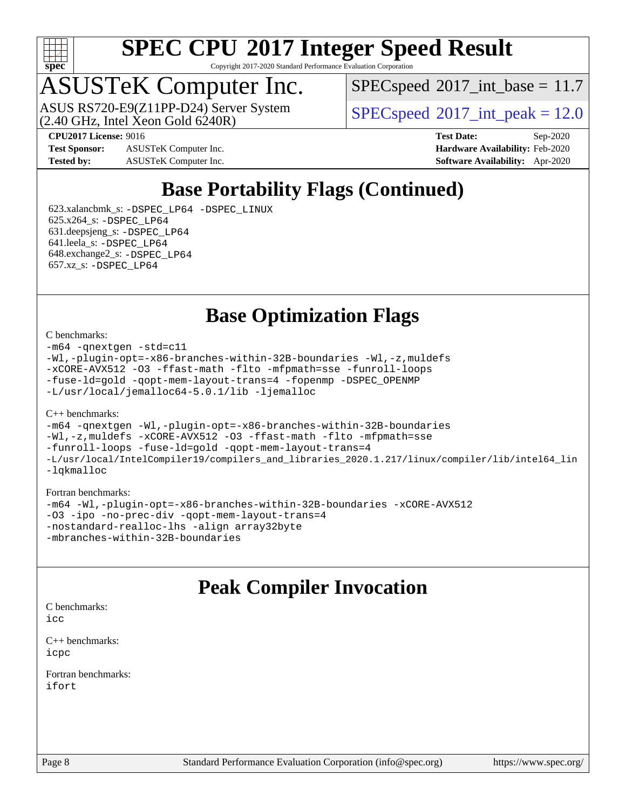

Copyright 2017-2020 Standard Performance Evaluation Corporation

# ASUSTeK Computer Inc.

 $(2.40 \text{ GHz}, \text{ Intel } \hat{\text{X}}$ con Gold 6240R) ASUS RS720-E9(Z11PP-D24) Server System  $SPEC speed@2017$  int\_peak = 12.0

 $SPECspeed^{\circ}2017\_int\_base = 11.7$  $SPECspeed^{\circ}2017\_int\_base = 11.7$ 

**[Test Sponsor:](http://www.spec.org/auto/cpu2017/Docs/result-fields.html#TestSponsor)** ASUSTeK Computer Inc. **[Hardware Availability:](http://www.spec.org/auto/cpu2017/Docs/result-fields.html#HardwareAvailability)** Feb-2020 **[Tested by:](http://www.spec.org/auto/cpu2017/Docs/result-fields.html#Testedby)** ASUSTeK Computer Inc. **[Software Availability:](http://www.spec.org/auto/cpu2017/Docs/result-fields.html#SoftwareAvailability)** Apr-2020

**[CPU2017 License:](http://www.spec.org/auto/cpu2017/Docs/result-fields.html#CPU2017License)** 9016 **[Test Date:](http://www.spec.org/auto/cpu2017/Docs/result-fields.html#TestDate)** Sep-2020

### **[Base Portability Flags \(Continued\)](http://www.spec.org/auto/cpu2017/Docs/result-fields.html#BasePortabilityFlags)**

 623.xalancbmk\_s: [-DSPEC\\_LP64](http://www.spec.org/cpu2017/results/res2020q4/cpu2017-20201023-24241.flags.html#suite_basePORTABILITY623_xalancbmk_s_DSPEC_LP64) [-DSPEC\\_LINUX](http://www.spec.org/cpu2017/results/res2020q4/cpu2017-20201023-24241.flags.html#b623.xalancbmk_s_baseCXXPORTABILITY_DSPEC_LINUX) 625.x264\_s: [-DSPEC\\_LP64](http://www.spec.org/cpu2017/results/res2020q4/cpu2017-20201023-24241.flags.html#suite_basePORTABILITY625_x264_s_DSPEC_LP64) 631.deepsjeng\_s: [-DSPEC\\_LP64](http://www.spec.org/cpu2017/results/res2020q4/cpu2017-20201023-24241.flags.html#suite_basePORTABILITY631_deepsjeng_s_DSPEC_LP64) 641.leela\_s: [-DSPEC\\_LP64](http://www.spec.org/cpu2017/results/res2020q4/cpu2017-20201023-24241.flags.html#suite_basePORTABILITY641_leela_s_DSPEC_LP64) 648.exchange2\_s: [-DSPEC\\_LP64](http://www.spec.org/cpu2017/results/res2020q4/cpu2017-20201023-24241.flags.html#suite_basePORTABILITY648_exchange2_s_DSPEC_LP64) 657.xz\_s: [-DSPEC\\_LP64](http://www.spec.org/cpu2017/results/res2020q4/cpu2017-20201023-24241.flags.html#suite_basePORTABILITY657_xz_s_DSPEC_LP64)

**[Base Optimization Flags](http://www.spec.org/auto/cpu2017/Docs/result-fields.html#BaseOptimizationFlags)**

#### [C benchmarks](http://www.spec.org/auto/cpu2017/Docs/result-fields.html#Cbenchmarks):

[-m64](http://www.spec.org/cpu2017/results/res2020q4/cpu2017-20201023-24241.flags.html#user_CCbase_m64-icc) [-qnextgen](http://www.spec.org/cpu2017/results/res2020q4/cpu2017-20201023-24241.flags.html#user_CCbase_f-qnextgen) [-std=c11](http://www.spec.org/cpu2017/results/res2020q4/cpu2017-20201023-24241.flags.html#user_CCbase_std-icc-std_0e1c27790398a4642dfca32ffe6c27b5796f9c2d2676156f2e42c9c44eaad0c049b1cdb667a270c34d979996257aeb8fc440bfb01818dbc9357bd9d174cb8524) [-Wl,-plugin-opt=-x86-branches-within-32B-boundaries](http://www.spec.org/cpu2017/results/res2020q4/cpu2017-20201023-24241.flags.html#user_CCbase_f-x86-branches-within-32B-boundaries_0098b4e4317ae60947b7b728078a624952a08ac37a3c797dfb4ffeb399e0c61a9dd0f2f44ce917e9361fb9076ccb15e7824594512dd315205382d84209e912f3) [-Wl,-z,muldefs](http://www.spec.org/cpu2017/results/res2020q4/cpu2017-20201023-24241.flags.html#user_CCbase_link_force_multiple1_b4cbdb97b34bdee9ceefcfe54f4c8ea74255f0b02a4b23e853cdb0e18eb4525ac79b5a88067c842dd0ee6996c24547a27a4b99331201badda8798ef8a743f577) [-xCORE-AVX512](http://www.spec.org/cpu2017/results/res2020q4/cpu2017-20201023-24241.flags.html#user_CCbase_f-xCORE-AVX512) [-O3](http://www.spec.org/cpu2017/results/res2020q4/cpu2017-20201023-24241.flags.html#user_CCbase_f-O3) [-ffast-math](http://www.spec.org/cpu2017/results/res2020q4/cpu2017-20201023-24241.flags.html#user_CCbase_f-ffast-math) [-flto](http://www.spec.org/cpu2017/results/res2020q4/cpu2017-20201023-24241.flags.html#user_CCbase_f-flto) [-mfpmath=sse](http://www.spec.org/cpu2017/results/res2020q4/cpu2017-20201023-24241.flags.html#user_CCbase_f-mfpmath_70eb8fac26bde974f8ab713bc9086c5621c0b8d2f6c86f38af0bd7062540daf19db5f3a066d8c6684be05d84c9b6322eb3b5be6619d967835195b93d6c02afa1) [-funroll-loops](http://www.spec.org/cpu2017/results/res2020q4/cpu2017-20201023-24241.flags.html#user_CCbase_f-funroll-loops) [-fuse-ld=gold](http://www.spec.org/cpu2017/results/res2020q4/cpu2017-20201023-24241.flags.html#user_CCbase_f-fuse-ld_920b3586e2b8c6e0748b9c84fa9b744736ba725a32cab14ad8f3d4ad28eecb2f59d1144823d2e17006539a88734fe1fc08fc3035f7676166309105a78aaabc32) [-qopt-mem-layout-trans=4](http://www.spec.org/cpu2017/results/res2020q4/cpu2017-20201023-24241.flags.html#user_CCbase_f-qopt-mem-layout-trans_fa39e755916c150a61361b7846f310bcdf6f04e385ef281cadf3647acec3f0ae266d1a1d22d972a7087a248fd4e6ca390a3634700869573d231a252c784941a8) [-fopenmp](http://www.spec.org/cpu2017/results/res2020q4/cpu2017-20201023-24241.flags.html#user_CCbase_fopenmp_5aa2e47ce4f2ef030ba5d12d5a7a9c4e57167333d78243fcadb80b48d5abb78ff19333f8478e0b2a41e63049eb285965c145ccab7b93db7d0c4d59e4dc6f5591) [-DSPEC\\_OPENMP](http://www.spec.org/cpu2017/results/res2020q4/cpu2017-20201023-24241.flags.html#suite_CCbase_DSPEC_OPENMP) [-L/usr/local/jemalloc64-5.0.1/lib](http://www.spec.org/cpu2017/results/res2020q4/cpu2017-20201023-24241.flags.html#user_CCbase_jemalloc_link_path64_1_cc289568b1a6c0fd3b62c91b824c27fcb5af5e8098e6ad028160d21144ef1b8aef3170d2acf0bee98a8da324cfe4f67d0a3d0c4cc4673d993d694dc2a0df248b) [-ljemalloc](http://www.spec.org/cpu2017/results/res2020q4/cpu2017-20201023-24241.flags.html#user_CCbase_jemalloc_link_lib_d1249b907c500fa1c0672f44f562e3d0f79738ae9e3c4a9c376d49f265a04b9c99b167ecedbf6711b3085be911c67ff61f150a17b3472be731631ba4d0471706)

#### [C++ benchmarks:](http://www.spec.org/auto/cpu2017/Docs/result-fields.html#CXXbenchmarks)

[-m64](http://www.spec.org/cpu2017/results/res2020q4/cpu2017-20201023-24241.flags.html#user_CXXbase_m64-icc) [-qnextgen](http://www.spec.org/cpu2017/results/res2020q4/cpu2017-20201023-24241.flags.html#user_CXXbase_f-qnextgen) [-Wl,-plugin-opt=-x86-branches-within-32B-boundaries](http://www.spec.org/cpu2017/results/res2020q4/cpu2017-20201023-24241.flags.html#user_CXXbase_f-x86-branches-within-32B-boundaries_0098b4e4317ae60947b7b728078a624952a08ac37a3c797dfb4ffeb399e0c61a9dd0f2f44ce917e9361fb9076ccb15e7824594512dd315205382d84209e912f3) [-Wl,-z,muldefs](http://www.spec.org/cpu2017/results/res2020q4/cpu2017-20201023-24241.flags.html#user_CXXbase_link_force_multiple1_b4cbdb97b34bdee9ceefcfe54f4c8ea74255f0b02a4b23e853cdb0e18eb4525ac79b5a88067c842dd0ee6996c24547a27a4b99331201badda8798ef8a743f577) [-xCORE-AVX512](http://www.spec.org/cpu2017/results/res2020q4/cpu2017-20201023-24241.flags.html#user_CXXbase_f-xCORE-AVX512) [-O3](http://www.spec.org/cpu2017/results/res2020q4/cpu2017-20201023-24241.flags.html#user_CXXbase_f-O3) [-ffast-math](http://www.spec.org/cpu2017/results/res2020q4/cpu2017-20201023-24241.flags.html#user_CXXbase_f-ffast-math) [-flto](http://www.spec.org/cpu2017/results/res2020q4/cpu2017-20201023-24241.flags.html#user_CXXbase_f-flto) [-mfpmath=sse](http://www.spec.org/cpu2017/results/res2020q4/cpu2017-20201023-24241.flags.html#user_CXXbase_f-mfpmath_70eb8fac26bde974f8ab713bc9086c5621c0b8d2f6c86f38af0bd7062540daf19db5f3a066d8c6684be05d84c9b6322eb3b5be6619d967835195b93d6c02afa1) [-funroll-loops](http://www.spec.org/cpu2017/results/res2020q4/cpu2017-20201023-24241.flags.html#user_CXXbase_f-funroll-loops) [-fuse-ld=gold](http://www.spec.org/cpu2017/results/res2020q4/cpu2017-20201023-24241.flags.html#user_CXXbase_f-fuse-ld_920b3586e2b8c6e0748b9c84fa9b744736ba725a32cab14ad8f3d4ad28eecb2f59d1144823d2e17006539a88734fe1fc08fc3035f7676166309105a78aaabc32) [-qopt-mem-layout-trans=4](http://www.spec.org/cpu2017/results/res2020q4/cpu2017-20201023-24241.flags.html#user_CXXbase_f-qopt-mem-layout-trans_fa39e755916c150a61361b7846f310bcdf6f04e385ef281cadf3647acec3f0ae266d1a1d22d972a7087a248fd4e6ca390a3634700869573d231a252c784941a8) [-L/usr/local/IntelCompiler19/compilers\\_and\\_libraries\\_2020.1.217/linux/compiler/lib/intel64\\_lin](http://www.spec.org/cpu2017/results/res2020q4/cpu2017-20201023-24241.flags.html#user_CXXbase_linkpath_2cb6f503891ebf8baee7515f4e7d4ec1217444d1d05903cc0091ac4158de400651d2b2313a9fa414cb8a8f0e16ab029634f5c6db340f400369c190d4db8a54a0) [-lqkmalloc](http://www.spec.org/cpu2017/results/res2020q4/cpu2017-20201023-24241.flags.html#user_CXXbase_qkmalloc_link_lib_79a818439969f771c6bc311cfd333c00fc099dad35c030f5aab9dda831713d2015205805422f83de8875488a2991c0a156aaa600e1f9138f8fc37004abc96dc5)

#### [Fortran benchmarks:](http://www.spec.org/auto/cpu2017/Docs/result-fields.html#Fortranbenchmarks)

[-m64](http://www.spec.org/cpu2017/results/res2020q4/cpu2017-20201023-24241.flags.html#user_FCbase_m64-icc) [-Wl,-plugin-opt=-x86-branches-within-32B-boundaries](http://www.spec.org/cpu2017/results/res2020q4/cpu2017-20201023-24241.flags.html#user_FCbase_f-x86-branches-within-32B-boundaries_0098b4e4317ae60947b7b728078a624952a08ac37a3c797dfb4ffeb399e0c61a9dd0f2f44ce917e9361fb9076ccb15e7824594512dd315205382d84209e912f3) [-xCORE-AVX512](http://www.spec.org/cpu2017/results/res2020q4/cpu2017-20201023-24241.flags.html#user_FCbase_f-xCORE-AVX512) [-O3](http://www.spec.org/cpu2017/results/res2020q4/cpu2017-20201023-24241.flags.html#user_FCbase_f-O3) [-ipo](http://www.spec.org/cpu2017/results/res2020q4/cpu2017-20201023-24241.flags.html#user_FCbase_f-ipo) [-no-prec-div](http://www.spec.org/cpu2017/results/res2020q4/cpu2017-20201023-24241.flags.html#user_FCbase_f-no-prec-div) [-qopt-mem-layout-trans=4](http://www.spec.org/cpu2017/results/res2020q4/cpu2017-20201023-24241.flags.html#user_FCbase_f-qopt-mem-layout-trans_fa39e755916c150a61361b7846f310bcdf6f04e385ef281cadf3647acec3f0ae266d1a1d22d972a7087a248fd4e6ca390a3634700869573d231a252c784941a8) [-nostandard-realloc-lhs](http://www.spec.org/cpu2017/results/res2020q4/cpu2017-20201023-24241.flags.html#user_FCbase_f_2003_std_realloc_82b4557e90729c0f113870c07e44d33d6f5a304b4f63d4c15d2d0f1fab99f5daaed73bdb9275d9ae411527f28b936061aa8b9c8f2d63842963b95c9dd6426b8a) [-align array32byte](http://www.spec.org/cpu2017/results/res2020q4/cpu2017-20201023-24241.flags.html#user_FCbase_align_array32byte_b982fe038af199962ba9a80c053b8342c548c85b40b8e86eb3cc33dee0d7986a4af373ac2d51c3f7cf710a18d62fdce2948f201cd044323541f22fc0fffc51b6) [-mbranches-within-32B-boundaries](http://www.spec.org/cpu2017/results/res2020q4/cpu2017-20201023-24241.flags.html#user_FCbase_f-mbranches-within-32B-boundaries)

### **[Peak Compiler Invocation](http://www.spec.org/auto/cpu2017/Docs/result-fields.html#PeakCompilerInvocation)**

[C benchmarks](http://www.spec.org/auto/cpu2017/Docs/result-fields.html#Cbenchmarks):  $i$ cc

[C++ benchmarks:](http://www.spec.org/auto/cpu2017/Docs/result-fields.html#CXXbenchmarks) [icpc](http://www.spec.org/cpu2017/results/res2020q4/cpu2017-20201023-24241.flags.html#user_CXXpeak_intel_icpc_c510b6838c7f56d33e37e94d029a35b4a7bccf4766a728ee175e80a419847e808290a9b78be685c44ab727ea267ec2f070ec5dc83b407c0218cded6866a35d07)

[Fortran benchmarks](http://www.spec.org/auto/cpu2017/Docs/result-fields.html#Fortranbenchmarks): [ifort](http://www.spec.org/cpu2017/results/res2020q4/cpu2017-20201023-24241.flags.html#user_FCpeak_intel_ifort_8111460550e3ca792625aed983ce982f94888b8b503583aa7ba2b8303487b4d8a21a13e7191a45c5fd58ff318f48f9492884d4413fa793fd88dd292cad7027ca)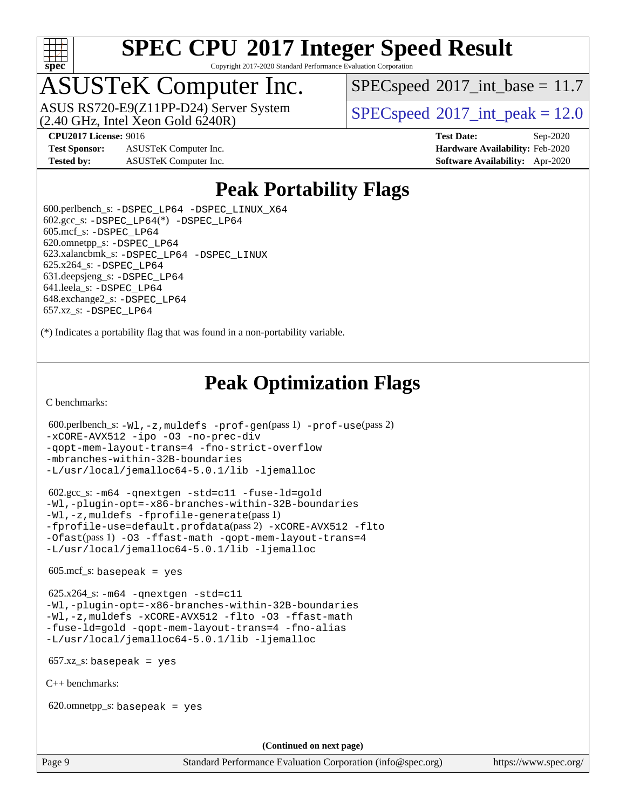

Copyright 2017-2020 Standard Performance Evaluation Corporation

# ASUSTeK Computer Inc.

 $(2.40 \text{ GHz}, \text{Intel Xeon Gold } 6240 \text{R})$ ASUS RS720-E9(Z11PP-D24) Server System  $SPEC speed^{\circ}2017$  int peak = 12.0

 $SPECspeed^{\circledcirc}2017\_int\_base = 11.7$  $SPECspeed^{\circledcirc}2017\_int\_base = 11.7$ 

**[Test Sponsor:](http://www.spec.org/auto/cpu2017/Docs/result-fields.html#TestSponsor)** ASUSTeK Computer Inc. **[Hardware Availability:](http://www.spec.org/auto/cpu2017/Docs/result-fields.html#HardwareAvailability)** Feb-2020 **[Tested by:](http://www.spec.org/auto/cpu2017/Docs/result-fields.html#Testedby)** ASUSTeK Computer Inc. **[Software Availability:](http://www.spec.org/auto/cpu2017/Docs/result-fields.html#SoftwareAvailability)** Apr-2020

**[CPU2017 License:](http://www.spec.org/auto/cpu2017/Docs/result-fields.html#CPU2017License)** 9016 **[Test Date:](http://www.spec.org/auto/cpu2017/Docs/result-fields.html#TestDate)** Sep-2020

### **[Peak Portability Flags](http://www.spec.org/auto/cpu2017/Docs/result-fields.html#PeakPortabilityFlags)**

 600.perlbench\_s: [-DSPEC\\_LP64](http://www.spec.org/cpu2017/results/res2020q4/cpu2017-20201023-24241.flags.html#b600.perlbench_s_peakPORTABILITY_DSPEC_LP64) [-DSPEC\\_LINUX\\_X64](http://www.spec.org/cpu2017/results/res2020q4/cpu2017-20201023-24241.flags.html#b600.perlbench_s_peakCPORTABILITY_DSPEC_LINUX_X64)  $602.\text{gcc}\_\text{s}: -\text{DSPEC}\_\text{LP64}(*) -\text{DSPEC}\_\text{LP64}$  605.mcf\_s: [-DSPEC\\_LP64](http://www.spec.org/cpu2017/results/res2020q4/cpu2017-20201023-24241.flags.html#suite_peakPORTABILITY605_mcf_s_DSPEC_LP64) 620.omnetpp\_s: [-DSPEC\\_LP64](http://www.spec.org/cpu2017/results/res2020q4/cpu2017-20201023-24241.flags.html#suite_peakPORTABILITY620_omnetpp_s_DSPEC_LP64) 623.xalancbmk\_s: [-DSPEC\\_LP64](http://www.spec.org/cpu2017/results/res2020q4/cpu2017-20201023-24241.flags.html#suite_peakPORTABILITY623_xalancbmk_s_DSPEC_LP64) [-DSPEC\\_LINUX](http://www.spec.org/cpu2017/results/res2020q4/cpu2017-20201023-24241.flags.html#b623.xalancbmk_s_peakCXXPORTABILITY_DSPEC_LINUX) 625.x264\_s: [-DSPEC\\_LP64](http://www.spec.org/cpu2017/results/res2020q4/cpu2017-20201023-24241.flags.html#suite_peakPORTABILITY625_x264_s_DSPEC_LP64) 631.deepsjeng\_s: [-DSPEC\\_LP64](http://www.spec.org/cpu2017/results/res2020q4/cpu2017-20201023-24241.flags.html#suite_peakPORTABILITY631_deepsjeng_s_DSPEC_LP64) 641.leela\_s: [-DSPEC\\_LP64](http://www.spec.org/cpu2017/results/res2020q4/cpu2017-20201023-24241.flags.html#suite_peakPORTABILITY641_leela_s_DSPEC_LP64) 648.exchange2\_s: [-DSPEC\\_LP64](http://www.spec.org/cpu2017/results/res2020q4/cpu2017-20201023-24241.flags.html#suite_peakPORTABILITY648_exchange2_s_DSPEC_LP64) 657.xz\_s: [-DSPEC\\_LP64](http://www.spec.org/cpu2017/results/res2020q4/cpu2017-20201023-24241.flags.html#suite_peakPORTABILITY657_xz_s_DSPEC_LP64)

(\*) Indicates a portability flag that was found in a non-portability variable.

### **[Peak Optimization Flags](http://www.spec.org/auto/cpu2017/Docs/result-fields.html#PeakOptimizationFlags)**

[C benchmarks](http://www.spec.org/auto/cpu2017/Docs/result-fields.html#Cbenchmarks):

```
 600.perlbench_s: -Wl,-z,muldefs -prof-gen(pass 1) -prof-use(pass 2)
-xCORE-AVX512 -ipo -O3 -no-prec-div
-qopt-mem-layout-trans=4 -fno-strict-overflow
-mbranches-within-32B-boundaries
-L/usr/local/jemalloc64-5.0.1/lib -ljemalloc
```

```
 602.gcc_s: -m64 -qnextgen -std=c11 -fuse-ld=gold
-Wl,-plugin-opt=-x86-branches-within-32B-boundaries
-Wl,-z,muldefs -fprofile-generate(pass 1)
-fprofile-use=default.profdata(pass 2) -xCORE-AVX512 -flto
-Ofast(pass 1) -O3 -ffast-math -qopt-mem-layout-trans=4
-L/usr/local/jemalloc64-5.0.1/lib -ljemalloc
```
 $605 \text{.mcf}\text{.s.}$  basepeak = yes

```
 625.x264_s: -m64 -qnextgen -std=c11
-Wl,-plugin-opt=-x86-branches-within-32B-boundaries
-Wl,-z,muldefs -xCORE-AVX512 -flto -O3 -ffast-math
-fuse-ld=gold -qopt-mem-layout-trans=4 -fno-alias
-L/usr/local/jemalloc64-5.0.1/lib -ljemalloc
```
657.xz\_s: basepeak = yes

[C++ benchmarks:](http://www.spec.org/auto/cpu2017/Docs/result-fields.html#CXXbenchmarks)

620.omnetpp\_s: basepeak = yes

**(Continued on next page)**